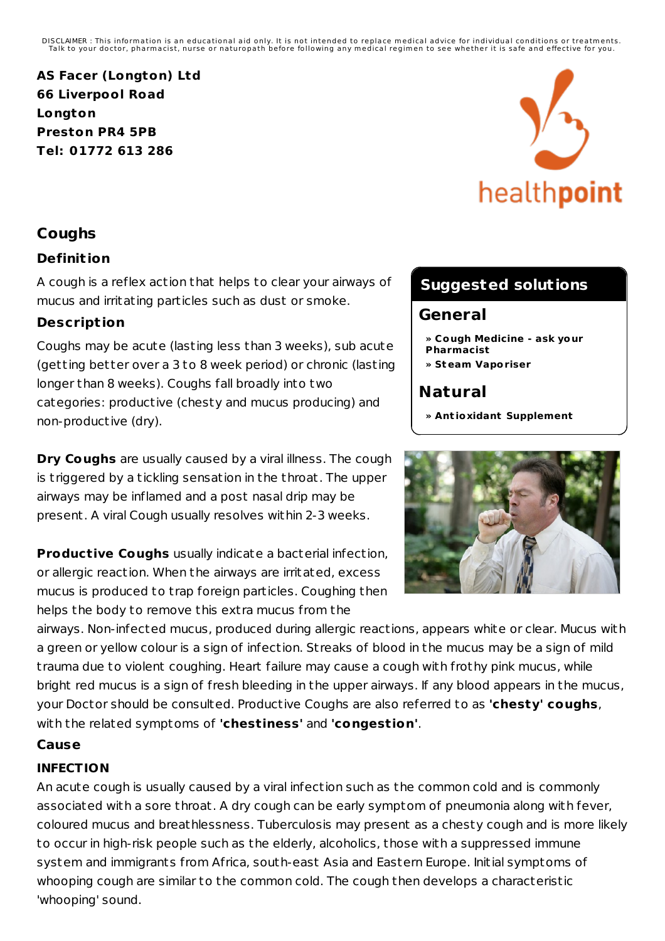DISCLAIMER : This information is an educational aid only. It is not intended to replace medical advice for individual conditions or treatments.<br>Talk to your doctor, pharmacist, nurse or naturopath before following any medi

**AS Facer (Longton) Ltd 66 Liverpool Road Longton Preston PR4 5PB Tel: 01772 613 286**

# healthpoint

## **Coughs**

#### **Definit ion**

A cough is a reflex action that helps to clear your airways of mucus and irritating particles such as dust or smoke.

#### **Descript ion**

Coughs may be acute (lasting less than 3 weeks), sub acute (getting better over a 3 to 8 week period) or chronic (lasting longer than 8 weeks). Coughs fall broadly into two categories: productive (chesty and mucus producing) and non-productive (dry).

**Dry Coughs** are usually caused by a viral illness. The cough is t riggered by a tickling sensation in the throat. The upper airways may be inflamed and a post nasal drip may be present. A viral Cough usually resolves within 2-3 weeks.

**Productive Coughs** usually indicate a bacterial infection, or allergic reaction. When the airways are irritated, excess mucus is produced to t rap foreign particles. Coughing then helps the body to remove this extra mucus from the

# **Suggested solutions**

#### **General**

- **» Cough Medicine - ask your Pharmacist**
- **» Steam Vaporiser**

# **Natural**

**» Ant ioxidant Supplement**



airways. Non-infected mucus, produced during allergic reactions, appears white or clear. Mucus with a green or yellow colour is a sign of infection. Streaks of blood in the mucus may be a sign of mild t rauma due to violent coughing. Heart failure may cause a cough with frothy pink mucus, while bright red mucus is a sign of fresh bleeding in the upper airways. If any blood appears in the mucus, your Doctor should be consulted. Productive Coughs are also referred to as **'chesty' coughs**, with the related symptoms of **'chestiness'** and **'congestion'**.

#### **Cause**

#### **INFECTION**

An acute cough is usually caused by a viral infection such as the common cold and is commonly associated with a sore throat. A dry cough can be early symptom of pneumonia along with fever, coloured mucus and breathlessness. Tuberculosis may present as a chesty cough and is more likely to occur in high-risk people such as the elderly, alcoholics, those with a suppressed immune system and immigrants from Africa, south-east Asia and Eastern Europe. Initial symptoms of whooping cough are similar to the common cold. The cough then develops a characteristic 'whooping' sound.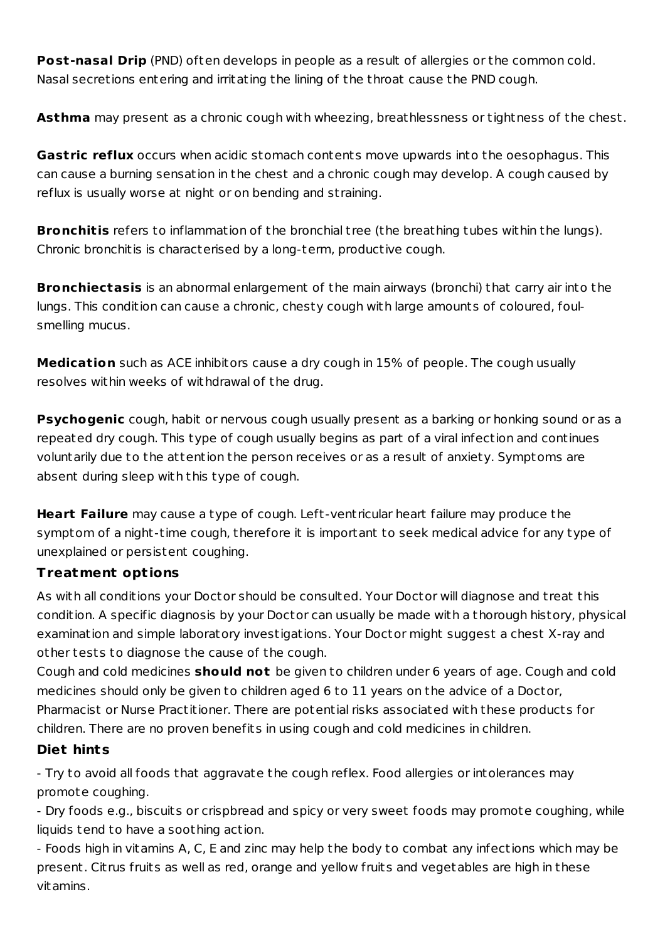**Post-nasal Drip** (PND) often develops in people as a result of allergies or the common cold. Nasal secretions entering and irritating the lining of the throat cause the PND cough.

**Asthma** may present as a chronic cough with wheezing, breathlessness or tightness of the chest.

**Gastric reflux** occurs when acidic stomach contents move upwards into the oesophagus. This can cause a burning sensation in the chest and a chronic cough may develop. A cough caused by reflux is usually worse at night or on bending and st raining.

**Bronchitis** refers to inflammation of the bronchial tree (the breathing tubes within the lungs). Chronic bronchitis is characterised by a long-term, productive cough.

**Bronchiectasis** is an abnormal enlargement of the main airways (bronchi) that carry air into the lungs. This condition can cause a chronic, chesty cough with large amounts of coloured, foulsmelling mucus.

**Medication** such as ACE inhibitors cause a dry cough in 15% of people. The cough usually resolves within weeks of withdrawal of the drug.

**Psychogenic** cough, habit or nervous cough usually present as a barking or honking sound or as a repeated dry cough. This type of cough usually begins as part of a viral infection and continues voluntarily due to the attention the person receives or as a result of anxiety. Symptoms are absent during sleep with this type of cough.

**Heart Failure** may cause a type of cough. Left-vent ricular heart failure may produce the symptom of a night-time cough, therefore it is important to seek medical advice for any type of unexplained or persistent coughing.

#### **Treatment opt ions**

As with all conditions your Doctor should be consulted. Your Doctor will diagnose and t reat this condition. A specific diagnosis by your Doctor can usually be made with a thorough history, physical examination and simple laboratory investigations. Your Doctor might suggest a chest X-ray and other tests to diagnose the cause of the cough.

Cough and cold medicines **should not** be given to children under 6 years of age. Cough and cold medicines should only be given to children aged 6 to 11 years on the advice of a Doctor, Pharmacist or Nurse Practitioner. There are potential risks associated with these products for children. There are no proven benefits in using cough and cold medicines in children.

#### **Diet hints**

- Try to avoid all foods that aggravate the cough reflex. Food allergies or intolerances may promote coughing.

- Dry foods e.g., biscuits or crispbread and spicy or very sweet foods may promote coughing, while liquids tend to have a soothing action.

- Foods high in vitamins A, C, E and zinc may help the body to combat any infections which may be present. Cit rus fruits as well as red, orange and yellow fruits and vegetables are high in these vitamins.